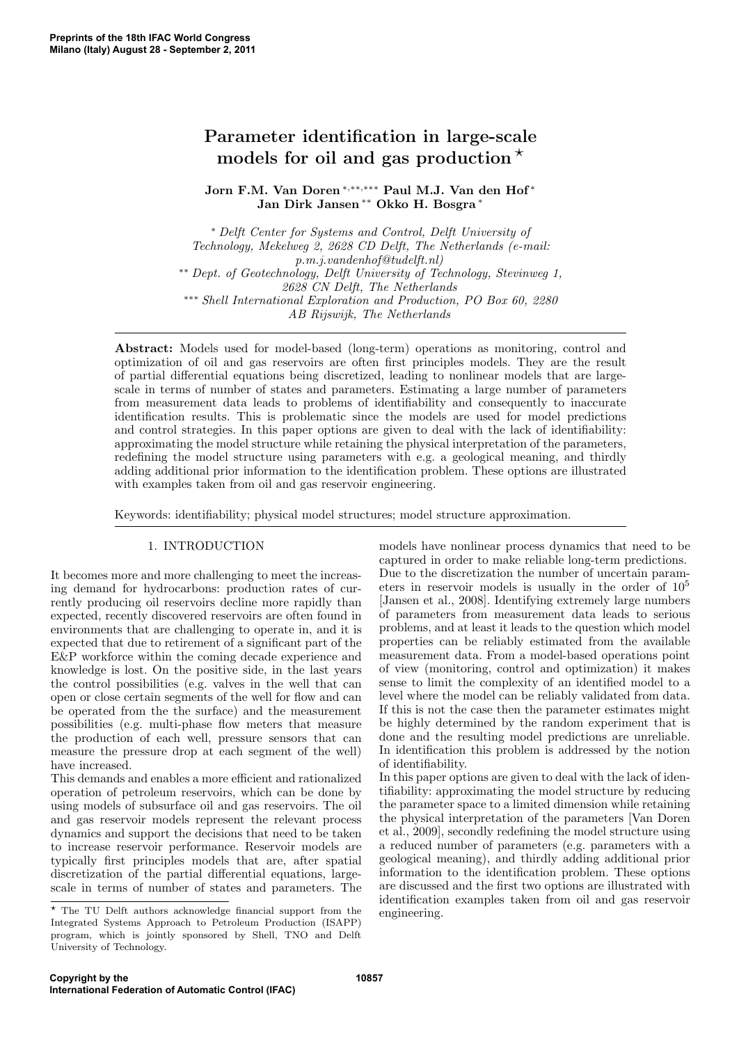# Parameter identification in large-scale models for oil and gas production<sup>\*</sup>

Jorn F.M. Van Doren <sup>∗</sup>,∗∗,∗∗∗ Paul M.J. Van den Hof <sup>∗</sup> Jan Dirk Jansen ∗∗ Okko H. Bosgra <sup>∗</sup>

<sup>∗</sup> *Delft Center for Systems and Control, Delft University of Technology, Mekelweg 2, 2628 CD Delft, The Netherlands (e-mail: p.m.j.vandenhof@tudelft.nl)* ∗∗ *Dept. of Geotechnology, Delft University of Technology, Stevinweg 1, 2628 CN Delft, The Netherlands* ∗∗∗ *Shell International Exploration and Production, PO Box 60, 2280 AB Rijswijk, The Netherlands*

Abstract: Models used for model-based (long-term) operations as monitoring, control and optimization of oil and gas reservoirs are often first principles models. They are the result of partial differential equations being discretized, leading to nonlinear models that are largescale in terms of number of states and parameters. Estimating a large number of parameters from measurement data leads to problems of identifiability and consequently to inaccurate identification results. This is problematic since the models are used for model predictions and control strategies. In this paper options are given to deal with the lack of identifiability: approximating the model structure while retaining the physical interpretation of the parameters, redefining the model structure using parameters with e.g. a geological meaning, and thirdly adding additional prior information to the identification problem. These options are illustrated with examples taken from oil and gas reservoir engineering.

Keywords: identifiability; physical model structures; model structure approximation.

## 1. INTRODUCTION

It becomes more and more challenging to meet the increasing demand for hydrocarbons: production rates of currently producing oil reservoirs decline more rapidly than expected, recently discovered reservoirs are often found in environments that are challenging to operate in, and it is expected that due to retirement of a significant part of the E&P workforce within the coming decade experience and knowledge is lost. On the positive side, in the last years the control possibilities (e.g. valves in the well that can open or close certain segments of the well for flow and can be operated from the the surface) and the measurement possibilities (e.g. multi-phase flow meters that measure the production of each well, pressure sensors that can measure the pressure drop at each segment of the well) have increased.

This demands and enables a more efficient and rationalized operation of petroleum reservoirs, which can be done by using models of subsurface oil and gas reservoirs. The oil and gas reservoir models represent the relevant process dynamics and support the decisions that need to be taken to increase reservoir performance. Reservoir models are typically first principles models that are, after spatial discretization of the partial differential equations, largescale in terms of number of states and parameters. The

models have nonlinear process dynamics that need to be captured in order to make reliable long-term predictions. Due to the discretization the number of uncertain parameters in reservoir models is usually in the order of  $10<sup>5</sup>$ [Jansen et al., 2008]. Identifying extremely large numbers of parameters from measurement data leads to serious problems, and at least it leads to the question which model properties can be reliably estimated from the available measurement data. From a model-based operations point of view (monitoring, control and optimization) it makes sense to limit the complexity of an identified model to a level where the model can be reliably validated from data. If this is not the case then the parameter estimates might be highly determined by the random experiment that is done and the resulting model predictions are unreliable. In identification this problem is addressed by the notion of identifiability.

In this paper options are given to deal with the lack of identifiability: approximating the model structure by reducing the parameter space to a limited dimension while retaining the physical interpretation of the parameters [Van Doren et al., 2009], secondly redefining the model structure using a reduced number of parameters (e.g. parameters with a geological meaning), and thirdly adding additional prior information to the identification problem. These options are discussed and the first two options are illustrated with identification examples taken from oil and gas reservoir engineering.

 $^\star$  The TU Delft authors acknowledge financial support from the Integrated Systems Approach to Petroleum Production (ISAPP) program, which is jointly sponsored by Shell, TNO and Delft University of Technology.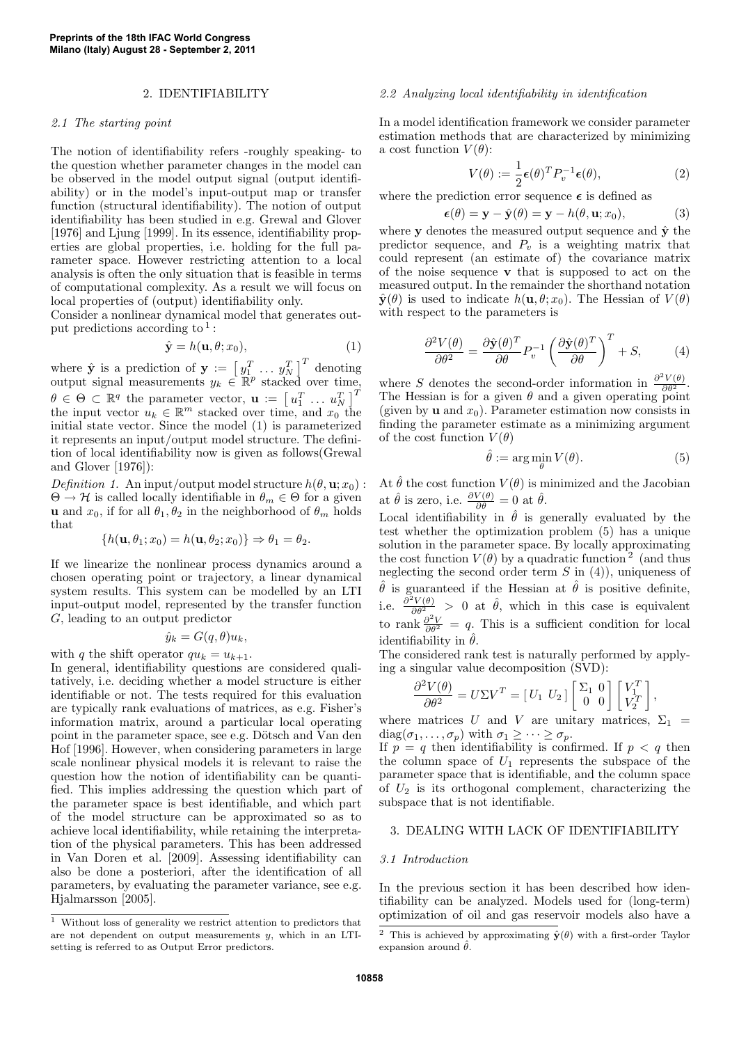#### 2. IDENTIFIABILITY

#### *2.1 The starting point*

The notion of identifiability refers -roughly speaking- to the question whether parameter changes in the model can be observed in the model output signal (output identifiability) or in the model's input-output map or transfer function (structural identifiability). The notion of output identifiability has been studied in e.g. Grewal and Glover [1976] and Ljung [1999]. In its essence, identifiability properties are global properties, i.e. holding for the full parameter space. However restricting attention to a local analysis is often the only situation that is feasible in terms of computational complexity. As a result we will focus on local properties of (output) identifiability only.

Consider a nonlinear dynamical model that generates output predictions according to<sup>1</sup>:

$$
\hat{\mathbf{y}} = h(\mathbf{u}, \theta; x_0),\tag{1}
$$

where  $\hat{\mathbf{y}}$  is a prediction of  $\mathbf{y} := \begin{bmatrix} y_1^T & \dots & y_N^T \end{bmatrix}^T$  denoting output signal measurements  $y_k \in \mathbb{R}^p$  stacked over time,  $\theta \in \Theta \subset \mathbb{R}^q$  the parameter vector,  $\mathbf{u} := \begin{bmatrix} u_1^T & \dots & u_N^T \end{bmatrix}^T$ the input vector  $u_k \in \mathbb{R}^m$  stacked over time, and  $x_0$  the initial state vector. Since the model (1) is parameterized it represents an input/output model structure. The definition of local identifiability now is given as follows(Grewal and Glover [1976]):

*Definition* 1. An input/output model structure  $h(\theta, \mathbf{u}; x_0)$ :  $\Theta \to \mathcal{H}$  is called locally identifiable in  $\theta_m \in \Theta$  for a given **u** and  $x_0$ , if for all  $\theta_1, \theta_2$  in the neighborhood of  $\theta_m$  holds that

$$
\{h(\mathbf{u},\theta_1;x_0)=h(\mathbf{u},\theta_2;x_0)\}\Rightarrow\theta_1=\theta_2.
$$

If we linearize the nonlinear process dynamics around a chosen operating point or trajectory, a linear dynamical system results. This system can be modelled by an LTI input-output model, represented by the transfer function G, leading to an output predictor

$$
\hat{y}_k = G(q, \theta) u_k,
$$

with q the shift operator  $qu_k = u_{k+1}$ .

In general, identifiability questions are considered qualitatively, i.e. deciding whether a model structure is either identifiable or not. The tests required for this evaluation are typically rank evaluations of matrices, as e.g. Fisher's information matrix, around a particular local operating point in the parameter space, see e.g. Dötsch and Van den Hof [1996]. However, when considering parameters in large scale nonlinear physical models it is relevant to raise the question how the notion of identifiability can be quantified. This implies addressing the question which part of the parameter space is best identifiable, and which part of the model structure can be approximated so as to achieve local identifiability, while retaining the interpretation of the physical parameters. This has been addressed in Van Doren et al. [2009]. Assessing identifiability can also be done a posteriori, after the identification of all parameters, by evaluating the parameter variance, see e.g. Hjalmarsson [2005].

# *2.2 Analyzing local identifiability in identification*

In a model identification framework we consider parameter estimation methods that are characterized by minimizing a cost function  $V(\theta)$ :

$$
V(\theta) := \frac{1}{2} \epsilon(\theta)^T P_v^{-1} \epsilon(\theta), \qquad (2)
$$

where the prediction error sequence  $\epsilon$  is defined as

$$
\boldsymbol{\epsilon}(\theta) = \mathbf{y} - \hat{\mathbf{y}}(\theta) = \mathbf{y} - h(\theta, \mathbf{u}; x_0), \tag{3}
$$

where  $y$  denotes the measured output sequence and  $\hat{y}$  the predictor sequence, and  $P_v$  is a weighting matrix that could represent (an estimate of) the covariance matrix of the noise sequence  $\bf{v}$  that is supposed to act on the measured output. In the remainder the shorthand notation  $\hat{\mathbf{y}}(\theta)$  is used to indicate  $h(\mathbf{u}, \theta; x_0)$ . The Hessian of  $V(\theta)$ with respect to the parameters is

$$
\frac{\partial^2 V(\theta)}{\partial \theta^2} = \frac{\partial \hat{\mathbf{y}}(\theta)^T}{\partial \theta} P_v^{-1} \left( \frac{\partial \hat{\mathbf{y}}(\theta)^T}{\partial \theta} \right)^T + S,\tag{4}
$$

where S denotes the second-order information in  $\frac{\partial^2 V(\theta)}{\partial \theta^2}$ . The Hessian is for a given  $\theta$  and a given operating point (given by **u** and  $x_0$ ). Parameter estimation now consists in finding the parameter estimate as a minimizing argument of the cost function  $V(\theta)$ 

$$
\hat{\theta} := \arg\min_{\theta} V(\theta). \tag{5}
$$

At  $\hat{\theta}$  the cost function  $V(\theta)$  is minimized and the Jacobian at  $\hat{\theta}$  is zero, i.e.  $\frac{\partial V(\theta)}{\partial \theta} = 0$  at  $\hat{\theta}$ .

Local identifiability in  $\hat{\theta}$  is generally evaluated by the test whether the optimization problem (5) has a unique solution in the parameter space. By locally approximating the cost function  $V(\theta)$  by a quadratic function<sup>2</sup> (and thus neglecting the second order term  $S$  in  $(4)$ ), uniqueness of  $\hat{\theta}$  is guaranteed if the Hessian at  $\hat{\theta}$  is positive definite, i.e.  $\frac{\partial^2 V(\theta)}{\partial \theta^2} > 0$  at  $\hat{\theta}$ , which in this case is equivalent to rank  $\frac{\partial^2 V}{\partial \theta^2} = q$ . This is a sufficient condition for local identifiability in  $\hat{\theta}$ .

The considered rank test is naturally performed by applying a singular value decomposition (SVD):

$$
\frac{\partial^2 V(\theta)}{\partial \theta^2} = U \Sigma V^T = \begin{bmatrix} U_1 & U_2 \end{bmatrix} \begin{bmatrix} \Sigma_1 & 0 \\ 0 & 0 \end{bmatrix} \begin{bmatrix} V_1^T \\ V_2^T \end{bmatrix},
$$

where matrices U and V are unitary matrices,  $\Sigma_1$  =  $diag(\sigma_1,\ldots,\sigma_p)$  with  $\sigma_1 \geq \cdots \geq \sigma_p$ .

If  $p = q$  then identifiability is confirmed. If  $p < q$  then the column space of  $U_1$  represents the subspace of the parameter space that is identifiable, and the column space of  $U_2$  is its orthogonal complement, characterizing the subspace that is not identifiable.

## 3. DEALING WITH LACK OF IDENTIFIABILITY

## *3.1 Introduction*

In the previous section it has been described how identifiability can be analyzed. Models used for (long-term) optimization of oil and gas reservoir models also have a

 $^{\rm 1}$  Without loss of generality we restrict attention to predictors that are not dependent on output measurements  $y$ , which in an LTIsetting is referred to as Output Error predictors.

<sup>&</sup>lt;sup>2</sup> This is achieved by approximating  $\hat{\mathbf{y}}(\theta)$  with a first-order Taylor expansion around  $\hat{\theta}$ .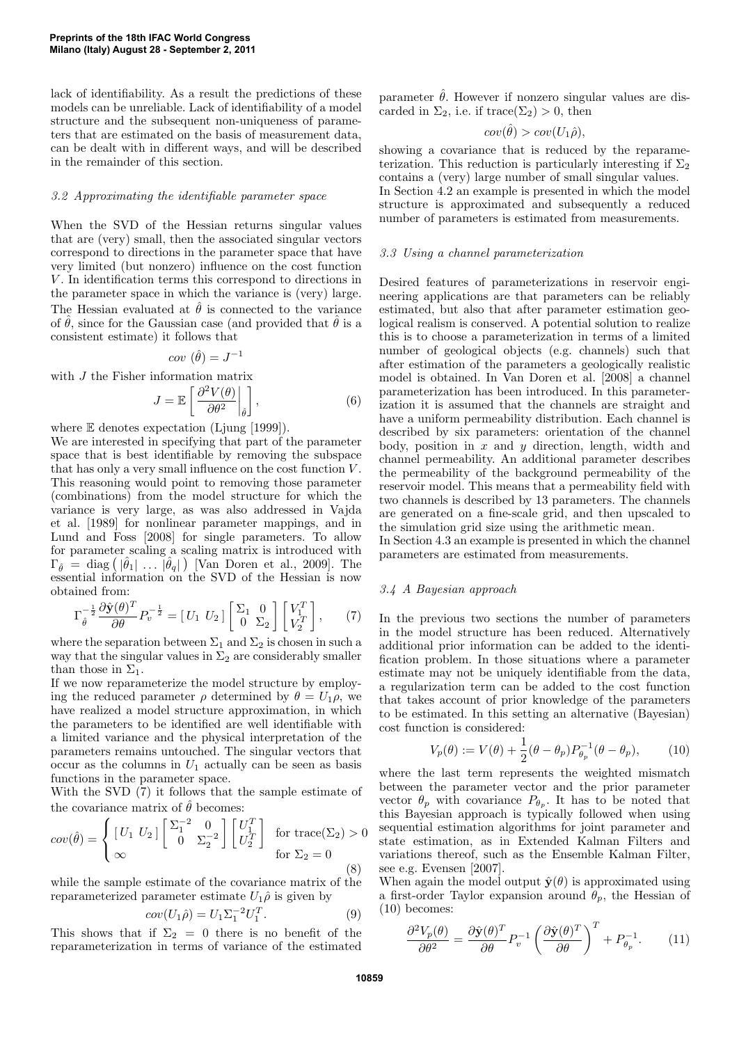lack of identifiability. As a result the predictions of these models can be unreliable. Lack of identifiability of a model structure and the subsequent non-uniqueness of parameters that are estimated on the basis of measurement data, can be dealt with in different ways, and will be described in the remainder of this section.

## *3.2 Approximating the identifiable parameter space*

When the SVD of the Hessian returns singular values that are (very) small, then the associated singular vectors correspond to directions in the parameter space that have very limited (but nonzero) influence on the cost function V. In identification terms this correspond to directions in the parameter space in which the variance is (very) large. The Hessian evaluated at  $\hat{\theta}$  is connected to the variance of  $\hat{\theta}$ , since for the Gaussian case (and provided that  $\hat{\theta}$  is a consistent estimate) it follows that

$$
cov\ (\hat{\theta}) = J^{-1}
$$

with *J* the Fisher information matrix

$$
J = \mathbb{E}\left[\left.\frac{\partial^2 V(\theta)}{\partial \theta^2}\right|_{\hat{\theta}}\right],\tag{6}
$$

where  $E$  denotes expectation (Ljung [1999]).

We are interested in specifying that part of the parameter space that is best identifiable by removing the subspace that has only a very small influence on the cost function V . This reasoning would point to removing those parameter (combinations) from the model structure for which the variance is very large, as was also addressed in Vajda et al. [1989] for nonlinear parameter mappings, and in Lund and Foss [2008] for single parameters. To allow for parameter scaling a scaling matrix is introduced with  $\Gamma_{\hat{\theta}} = \text{diag} \left( |\hat{\theta}_1| \dots |\hat{\theta}_q| \right)$  [Van Doren et al., 2009]. The essential information on the SVD of the Hessian is now obtained from:

$$
\Gamma_{\hat{\theta}}^{-\frac{1}{2}} \frac{\partial \hat{\mathbf{y}}(\theta)^{T}}{\partial \theta} P_{v}^{-\frac{1}{2}} = \begin{bmatrix} U_1 & U_2 \end{bmatrix} \begin{bmatrix} \Sigma_1 & 0 \\ 0 & \Sigma_2 \end{bmatrix} \begin{bmatrix} V_1^T \\ V_2^T \end{bmatrix}, \qquad (7)
$$

where the separation between  $\Sigma_1$  and  $\Sigma_2$  is chosen in such a way that the singular values in  $\Sigma_2$  are considerably smaller than those in  $\Sigma_1$ .

If we now reparameterize the model structure by employing the reduced parameter  $\rho$  determined by  $\theta = U_1 \rho$ , we have realized a model structure approximation, in which the parameters to be identified are well identifiable with a limited variance and the physical interpretation of the parameters remains untouched. The singular vectors that occur as the columns in  $U_1$  actually can be seen as basis functions in the parameter space.

With the SVD (7) it follows that the sample estimate of the covariance matrix of  $\hat{\theta}$  becomes:

$$
cov(\hat{\theta}) = \begin{cases} \begin{bmatrix} U_1 & U_2 \end{bmatrix} \begin{bmatrix} \Sigma_1^{-2} & 0 \\ 0 & \Sigma_2^{-2} \end{bmatrix} \begin{bmatrix} U_1^T \\ U_2^T \end{bmatrix} & \text{for trace}(\Sigma_2) > 0\\ \text{for } \Sigma_2 = 0 \end{cases}
$$
(8)

while the sample estimate of the covariance matrix of the reparameterized parameter estimate  $U_1\hat{\rho}$  is given by

$$
cov(U_1\hat{\rho}) = U_1 \Sigma_1^{-2} U_1^T.
$$
 (9)

This shows that if  $\Sigma_2 = 0$  there is no benefit of the reparameterization in terms of variance of the estimated parameter  $\hat{\theta}$ . However if nonzero singular values are discarded in  $\Sigma_2$ , i.e. if trace( $\Sigma_2$ ) > 0, then

$$
cov(\hat{\theta}) > cov(U_1\hat{\rho}),
$$

showing a covariance that is reduced by the reparameterization. This reduction is particularly interesting if  $\Sigma_2$ contains a (very) large number of small singular values. In Section 4.2 an example is presented in which the model structure is approximated and subsequently a reduced number of parameters is estimated from measurements.

### *3.3 Using a channel parameterization*

Desired features of parameterizations in reservoir engineering applications are that parameters can be reliably estimated, but also that after parameter estimation geological realism is conserved. A potential solution to realize this is to choose a parameterization in terms of a limited number of geological objects (e.g. channels) such that after estimation of the parameters a geologically realistic model is obtained. In Van Doren et al. [2008] a channel parameterization has been introduced. In this parameterization it is assumed that the channels are straight and have a uniform permeability distribution. Each channel is described by six parameters: orientation of the channel body, position in  $x$  and  $y$  direction, length, width and channel permeability. An additional parameter describes the permeability of the background permeability of the reservoir model. This means that a permeability field with two channels is described by 13 parameters. The channels are generated on a fine-scale grid, and then upscaled to the simulation grid size using the arithmetic mean.

In Section 4.3 an example is presented in which the channel parameters are estimated from measurements.

# *3.4 A Bayesian approach*

In the previous two sections the number of parameters in the model structure has been reduced. Alternatively additional prior information can be added to the identification problem. In those situations where a parameter estimate may not be uniquely identifiable from the data, a regularization term can be added to the cost function that takes account of prior knowledge of the parameters to be estimated. In this setting an alternative (Bayesian) cost function is considered:

$$
V_p(\theta) := V(\theta) + \frac{1}{2}(\theta - \theta_p)P_{\theta_p}^{-1}(\theta - \theta_p),
$$
 (10)

where the last term represents the weighted mismatch between the parameter vector and the prior parameter vector  $\theta_p$  with covariance  $P_{\theta_p}$ . It has to be noted that this Bayesian approach is typically followed when using sequential estimation algorithms for joint parameter and state estimation, as in Extended Kalman Filters and variations thereof, such as the Ensemble Kalman Filter, see e.g. Evensen [2007].

When again the model output  $\hat{\mathbf{y}}(\theta)$  is approximated using a first-order Taylor expansion around  $\theta_p$ , the Hessian of (10) becomes:

$$
\frac{\partial^2 V_p(\theta)}{\partial \theta^2} = \frac{\partial \hat{\mathbf{y}}(\theta)^T}{\partial \theta} P_v^{-1} \left( \frac{\partial \hat{\mathbf{y}}(\theta)^T}{\partial \theta} \right)^T + P_{\theta_p}^{-1}.
$$
 (11)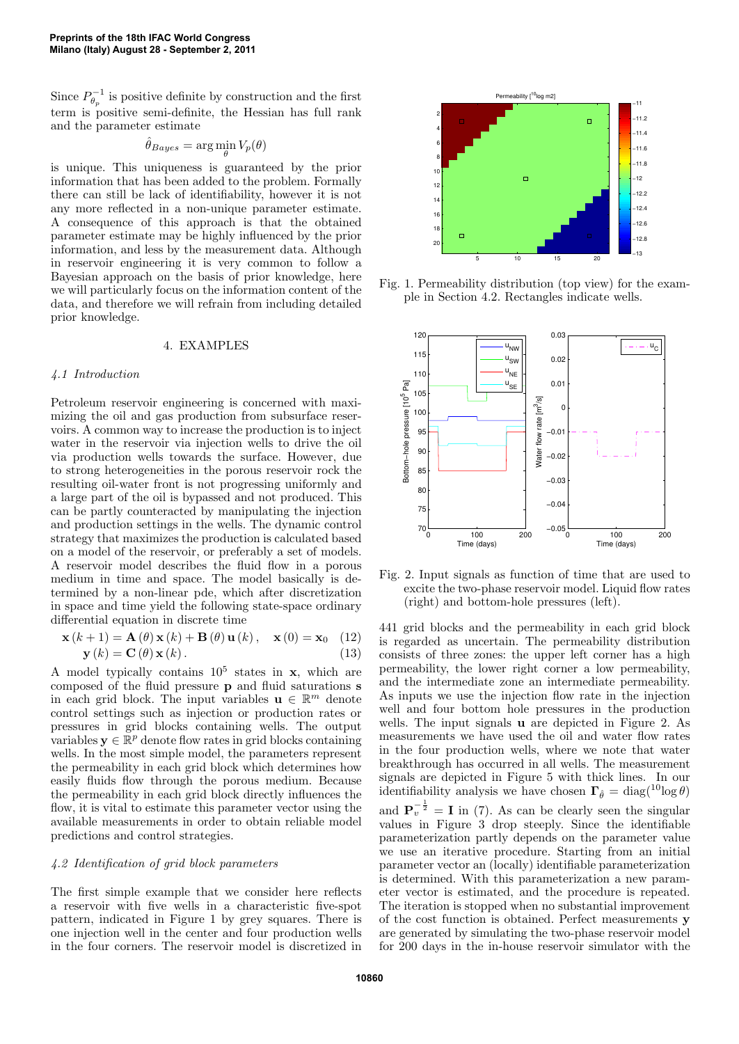Since  $P_{\theta_p}^{-1}$  is positive definite by construction and the first term is positive semi-definite, the Hessian has full rank and the parameter estimate

$$
\hat{\theta}_{Bayes} = \arg\min_{\theta} V_p(\theta)
$$

is unique. This uniqueness is guaranteed by the prior information that has been added to the problem. Formally there can still be lack of identifiability, however it is not any more reflected in a non-unique parameter estimate. A consequence of this approach is that the obtained parameter estimate may be highly influenced by the prior information, and less by the measurement data. Although in reservoir engineering it is very common to follow a Bayesian approach on the basis of prior knowledge, here we will particularly focus on the information content of the data, and therefore we will refrain from including detailed prior knowledge.

## 4. EXAMPLES

#### *4.1 Introduction*

Petroleum reservoir engineering is concerned with maximizing the oil and gas production from subsurface reservoirs. A common way to increase the production is to inject water in the reservoir via injection wells to drive the oil via production wells towards the surface. However, due to strong heterogeneities in the porous reservoir rock the resulting oil-water front is not progressing uniformly and a large part of the oil is bypassed and not produced. This can be partly counteracted by manipulating the injection and production settings in the wells. The dynamic control strategy that maximizes the production is calculated based on a model of the reservoir, or preferably a set of models. A reservoir model describes the fluid flow in a porous medium in time and space. The model basically is determined by a non-linear pde, which after discretization in space and time yield the following state-space ordinary differential equation in discrete time

$$
\mathbf{x}(k+1) = \mathbf{A}(\theta)\mathbf{x}(k) + \mathbf{B}(\theta)\mathbf{u}(k), \quad \mathbf{x}(0) = \mathbf{x}_0 \quad (12)
$$
  

$$
\mathbf{y}(k) = \mathbf{C}(\theta)\mathbf{x}(k).
$$
 (13)

A model typically contains  $10^5$  states in x, which are composed of the fluid pressure p and fluid saturations s in each grid block. The input variables  $\mathbf{u} \in \mathbb{R}^m$  denote control settings such as injection or production rates or pressures in grid blocks containing wells. The output variables  $y \in \mathbb{R}^p$  denote flow rates in grid blocks containing wells. In the most simple model, the parameters represent the permeability in each grid block which determines how easily fluids flow through the porous medium. Because the permeability in each grid block directly influences the flow, it is vital to estimate this parameter vector using the available measurements in order to obtain reliable model predictions and control strategies.

## *4.2 Identification of grid block parameters*

The first simple example that we consider here reflects a reservoir with five wells in a characteristic five-spot pattern, indicated in Figure 1 by grey squares. There is one injection well in the center and four production wells in the four corners. The reservoir model is discretized in



Fig. 1. Permeability distribution (top view) for the example in Section 4.2. Rectangles indicate wells.



Fig. 2. Input signals as function of time that are used to excite the two-phase reservoir model. Liquid flow rates (right) and bottom-hole pressures (left).

441 grid blocks and the permeability in each grid block is regarded as uncertain. The permeability distribution consists of three zones: the upper left corner has a high permeability, the lower right corner a low permeability, and the intermediate zone an intermediate permeability. As inputs we use the injection flow rate in the injection well and four bottom hole pressures in the production wells. The input signals u are depicted in Figure 2. As measurements we have used the oil and water flow rates in the four production wells, where we note that water breakthrough has occurred in all wells. The measurement signals are depicted in Figure 5 with thick lines. In our identifiability analysis we have chosen  $\Gamma_{\hat{\theta}} = \text{diag}(\lambda^{10} \log \theta)$ and  $\mathbf{P}_v^{-\frac{1}{2}} = \mathbf{I}$  in (7). As can be clearly seen the singular values in Figure 3 drop steeply. Since the identifiable parameterization partly depends on the parameter value we use an iterative procedure. Starting from an initial parameter vector an (locally) identifiable parameterization is determined. With this parameterization a new param-

eter vector is estimated, and the procedure is repeated. The iteration is stopped when no substantial improvement of the cost function is obtained. Perfect measurements y are generated by simulating the two-phase reservoir model for 200 days in the in-house reservoir simulator with the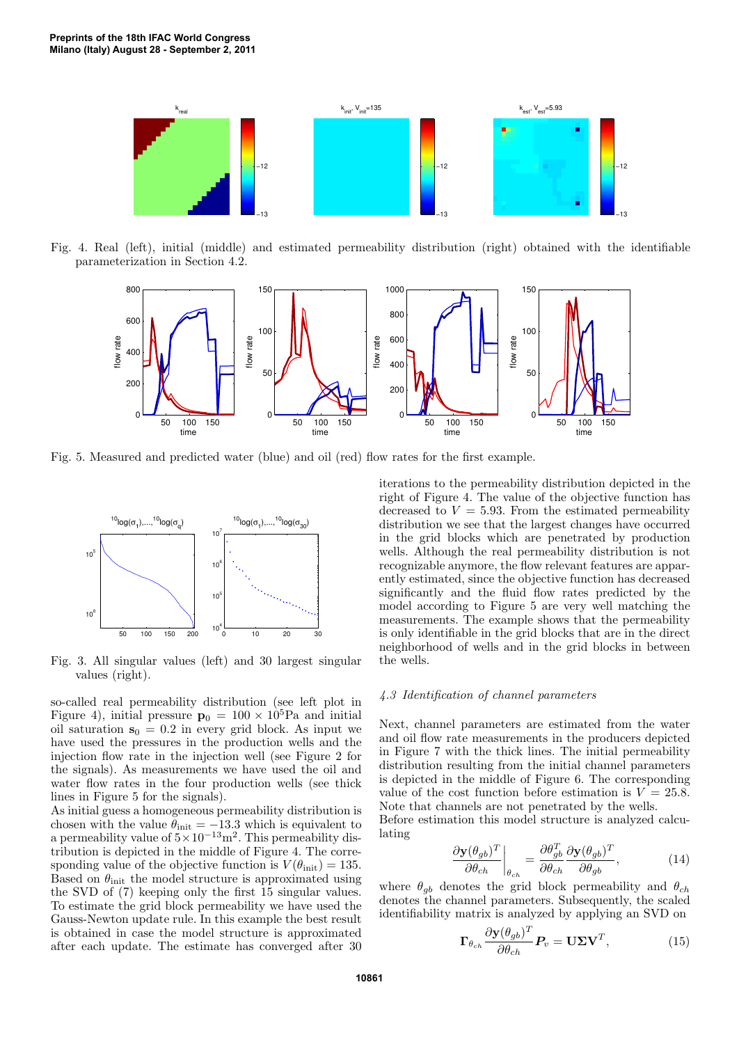

Fig. 4. Real (left), initial (middle) and estimated permeability distribution (right) obtained with the identifiable parameterization in Section 4.2.



Fig. 5. Measured and predicted water (blue) and oil (red) flow rates for the first example.



Fig. 3. All singular values (left) and 30 largest singular values (right).

so-called real permeability distribution (see left plot in Figure 4), initial pressure  $p_0 = 100 \times 10^5$ Pa and initial oil saturation  $s_0 = 0.2$  in every grid block. As input we have used the pressures in the production wells and the injection flow rate in the injection well (see Figure 2 for the signals). As measurements we have used the oil and water flow rates in the four production wells (see thick lines in Figure 5 for the signals).

As initial guess a homogeneous permeability distribution is chosen with the value  $\theta_{\text{init}} = -13.3$  which is equivalent to a permeability value of  $5 \times 10^{-13}$  m<sup>2</sup>. This permeability distribution is depicted in the middle of Figure 4. The corresponding value of the objective function is  $V(\theta_{\text{init}}) = 135$ . Based on  $\theta_{\text{init}}$  the model structure is approximated using the SVD of (7) keeping only the first 15 singular values. To estimate the grid block permeability we have used the Gauss-Newton update rule. In this example the best result is obtained in case the model structure is approximated after each update. The estimate has converged after 30 iterations to the permeability distribution depicted in the right of Figure 4. The value of the objective function has decreased to  $V = 5.93$ . From the estimated permeability distribution we see that the largest changes have occurred in the grid blocks which are penetrated by production wells. Although the real permeability distribution is not recognizable anymore, the flow relevant features are apparently estimated, since the objective function has decreased significantly and the fluid flow rates predicted by the model according to Figure 5 are very well matching the measurements. The example shows that the permeability is only identifiable in the grid blocks that are in the direct neighborhood of wells and in the grid blocks in between the wells.

#### *4.3 Identification of channel parameters*

Next, channel parameters are estimated from the water and oil flow rate measurements in the producers depicted in Figure 7 with the thick lines. The initial permeability distribution resulting from the initial channel parameters is depicted in the middle of Figure 6. The corresponding value of the cost function before estimation is  $V = 25.8$ . Note that channels are not penetrated by the wells.

Before estimation this model structure is analyzed calculating

$$
\left. \frac{\partial \mathbf{y}(\theta_{gb})^T}{\partial \theta_{ch}} \right|_{\theta_{ch}} = \frac{\partial \theta_{gb}^T}{\partial \theta_{ch}} \frac{\partial \mathbf{y}(\theta_{gb})^T}{\partial \theta_{gb}},
$$
(14)

where  $\theta_{gb}$  denotes the grid block permeability and  $\theta_{ch}$ denotes the channel parameters. Subsequently, the scaled identifiability matrix is analyzed by applying an SVD on

$$
\Gamma_{\theta_{ch}} \frac{\partial \mathbf{y}(\theta_{gb})^T}{\partial \theta_{ch}} \mathbf{P}_v = \mathbf{U} \mathbf{\Sigma} \mathbf{V}^T, \tag{15}
$$